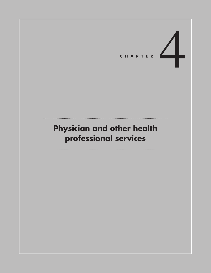

# **Physician and other health professional services**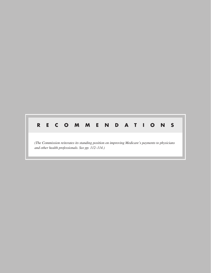#### **R E C O M M EN D A T I ONS** N<sub>S</sub>

*(The Commission reiterates its standing position on improving Medicare's payments to physicians and other health professionals. See pp. 112–114.)*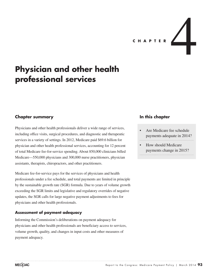

## **Physician and other health professional services**

## **Chapter summary**

Physicians and other health professionals deliver a wide range of services, including office visits, surgical procedures, and diagnostic and therapeutic services in a variety of settings. In 2012, Medicare paid \$69.6 billion for physician and other health professional services, accounting for 12 percent of total Medicare fee-for-service spending. About 850,000 clinicians billed Medicare—550,000 physicians and 300,000 nurse practitioners, physician assistants, therapists, chiropractors, and other practitioners.

Medicare fee-for-service pays for the services of physicians and health professionals under a fee schedule, and total payments are limited in principle by the sustainable growth rate (SGR) formula. Due to years of volume growth exceeding the SGR limits and legislative and regulatory overrides of negative updates, the SGR calls for large negative payment adjustments to fees for physicians and other health professionals.

#### **Assessment of payment adequacy**

Informing the Commission's deliberations on payment adequacy for physicians and other health professionals are beneficiary access to services, volume growth, quality, and changes in input costs and other measures of payment adequacy.

## **In this chapter**

- Are Medicare fee schedule payments adequate in 2014?
- How should Medicare payments change in 2015?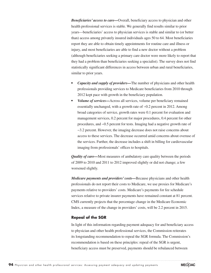*Beneficiaries' access to care—*Overall, beneficiary access to physician and other health professional services is stable. We generally find results similar to prior years—beneficiaries' access to physician services is stable and similar to (or better than) access among privately insured individuals ages 50 to 64. Most beneficiaries report they are able to obtain timely appointments for routine care and illness or injury, and most beneficiaries are able to find a new doctor without a problem (although beneficiaries seeking a primary care doctor were more likely to report that they had a problem than beneficiaries seeking a specialist). The survey does not find statistically significant differences in access between urban and rural beneficiaries, similar to prior years.

- *Capacity and supply of providers*—The number of physicians and other health professionals providing services to Medicare beneficiaries from 2010 through 2012 kept pace with growth in the beneficiary population.
- *• Volume of services—*Across all services, volume per beneficiary remained essentially unchanged, with a growth rate of −0.2 percent in 2012. Among broad categories of service, growth rates were 0.1 percent for evaluation and management services, 0.2 percent for major procedures, 0.4 percent for other procedures, and −0.5 percent for tests. Imaging had a negative growth rate of −3.2 percent. However, the imaging decrease does not raise concerns about access to these services. The decrease occurred amid concerns about overuse of the services. Further, the decrease includes a shift in billing for cardiovascular imaging from professionals' offices to hospitals.

*Quality of care—*Most measures of ambulatory care quality between the periods of 2009 to 2010 and 2011 to 2012 improved slightly or did not change; a few worsened slightly.

*Medicare payments and providers' costs—*Because physicians and other health professionals do not report their costs to Medicare, we use proxies for Medicare's payments relative to providers' costs. Medicare's payments for fee schedule services relative to private insurer payments have remained constant at 81 percent. CMS currently projects that the percentage change in the Medicare Economic Index, a measure of the change in providers' costs, will be 2.2 percent in 2015.

#### **Repeal of the SGR**

In light of this information regarding payment adequacy for and beneficiary access to physician and other health professional services, the Commission reiterates its longstanding recommendation to repeal the SGR formula. The Commission's recommendation is based on these principles: repeal of the SGR is urgent, beneficiary access must be preserved, payments should be rebalanced between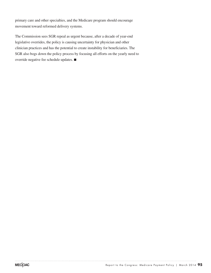primary care and other specialties, and the Medicare program should encourage movement toward reformed delivery systems.

The Commission sees SGR repeal as urgent because, after a decade of year-end legislative overrides, the policy is causing uncertainty for physician and other clinician practices and has the potential to create instability for beneficiaries. The SGR also bogs down the policy process by focusing all efforts on the yearly need to override negative fee schedule updates. ■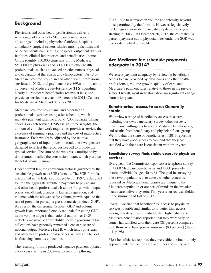## **Background**

Physicians and other health professionals deliver a wide range of services to Medicare beneficiaries in all settings—including physicians' offices, hospitals, ambulatory surgical centers, skilled nursing facilities and other post-acute care settings, hospices, outpatient dialysis facilities, clinical laboratories, and beneficiaries' homes. Of the roughly 850,000 clinicians billing Medicare, 550,000 are physicians and 300,000 are other health professionals, such as advanced practice nurses, physical and occupational therapists, and chiropractors. Part B of Medicare pays for physician and other health professional services; in 2012, total payments were \$69.6 billion, about 12 percent of Medicare fee-for-service (FFS) spending. Nearly all Medicare beneficiaries receive at least one physician service in a year—98 percent in 2011 (Centers for Medicare & Medicaid Services 2012c).

Medicare pays for physicians' and other health professionals' services using a fee schedule, which includes payment rates for around 7,000 separate billing codes. For each service, CMS assigns three weights: the amount of clinician work required to provide a service, the expenses of running a practice, and the cost of malpractice insurance. Each weight is adjusted by the relative geographic cost of input prices. In total, these weights are designed to reflect the resources needed to provide the typical service. The sum of the weights is multiplied by a dollar amount called the conversion factor, which produces the total payment amount. $<sup>1</sup>$ </sup>

Under current law, the conversion factor is governed by the sustainable growth rate (SGR) formula. The SGR formula, established in the Balanced Budget Act of 1997, is designed to limit the aggregate growth in payments to physicians and other health professionals. It allows for growth in input prices, enrollment, changes in law and regulation, and volume, with the allowance for volume growth equal to the rate of growth in per capita gross domestic product (GDP). As a result, the differential between GDP and volume growth is an important factor. A rationale for setting GDP as the volume target is that national output—or GDP reflects a measure of affordability because government tax collections have generally remained a constant share of national output. Medicare Part B, which funds physician and other health professional services, receives the bulk of its financing from tax collections.

The resulting formula produced negative payment updates every year starting in 2002—and continuing through

2012—due to increases in volume and intensity beyond those permitted by the formula. However, legislatively the Congress overrode the negative updates every year starting in 2003. On December 26, 2013, the estimated 24 percent payment cut to physician fees under the SGR was overridden until April 2014.

## **Are Medicare fee schedule payments adequate in 2014?**

We assess payment adequacy by reviewing beneficiary access to care provided by physicians and other health professionals, volume growth, quality of care, and Medicare's payment rates relative to those in the private sector. Overall, most indicators show no significant change from prior years.

#### **Beneficiaries' access to care: Generally stable**

We review a range of beneficiary access measures, including our own beneficiary survey, other surveys, physicians' willingness to accept Medicare beneficiaries, and results from beneficiary and physician focus groups. We find that the share of beneficiaries in 2013 reporting that they have good access to care and that they are satisfied with their care is consistent with prior years.

#### **Beneficiary survey finds stable access to physician services**

Every year, the Commission sponsors a telephone survey of 4,000 Medicare beneficiaries and 4,000 privately insured individuals ages 50 to 64. The goal in surveying these two populations is to assess whether concerns reported by Medicare beneficiaries are unique to the Medicare population or are part of trends in the broader health care delivery system. This year's survey was fielded in the summer and fall of 2013.

Overall, we find that beneficiaries' access to physician services is stable and similar to or better than access among privately insured individuals. Higher shares of Medicare beneficiaries reported that they were very or somewhat satisfied with their care (88 percent) compared with those who have private insurance (83 percent) (Table 4-1, p. 98).

Most beneficiaries reported they were able to obtain timely appointments for routine care and illness or injury, and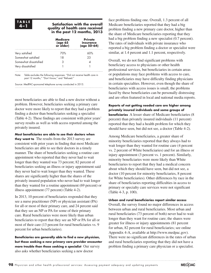#### **4–1 Satisfaction with the overall quality of health care received in the past 12 months, 2013**

|                       | <b>Medicare</b><br>(age 65<br>or older) | <b>Private</b><br>insurance<br>$(age 50-64)$ |
|-----------------------|-----------------------------------------|----------------------------------------------|
| Very satisfied        | 70%                                     | 60%                                          |
| Somewhat satisfied    | 18                                      | 23                                           |
| Somewhat dissatisfied |                                         |                                              |
| Very dissatisfied     |                                         |                                              |

Note: Table excludes the following responses: "Did not receive health care in past 12 months," "Don't know," and "Refused."

Source: MedPAC-sponsored telephone survey conducted in 2013.

most beneficiaries are able to find a new doctor without a problem. However, beneficiaries seeking a primary care doctor were more likely to report that they had a problem finding a doctor than beneficiaries seeking a specialist (Table 4-2). These findings are consistent with prior years' survey results as well as with access reported among the privately insured.

**Most beneficiaries are able to see their doctors when they want to**The results from the 2013 survey are consistent with prior years in finding that most Medicare beneficiaries are able to see their doctors in a timely manner. The share of beneficiaries seeking a routine care appointment who reported that they never had to wait longer than they wanted was 73 percent; 82 percent of beneficiaries seeking an illness or injury appointment said they never had to wait longer than they wanted. These shares are significantly higher than the shares of the privately insured population who never had to wait longer than they wanted for a routine appointment (69 percent) or illness appointment (77 percent) (Table 4-2).

In 2013, 10 percent of beneficiaries responded that they see a nurse practitioner (NP) or physician assistant (PA) for all or most of their primary care, and 24 percent said that they see an NP or PA for some of their primary care. Rural beneficiaries were more likely than urban beneficiaries to report that they see an NP or PA for all or most of their care (13 percent for rural beneficiaries vs. 9 percent for urban beneficiaries).

**Beneficiaries are generally able to find a new physician, but those seeking a new primary care provider encounter more trouble than those seeking a specialist** Our survey also asks whether beneficiaries seeking a new doctor

face problems finding one. Overall, 1.3 percent of all Medicare beneficiaries reported that they had a big problem finding a new primary care doctor, higher than the share of Medicare beneficiaries reporting that they had a big problem finding a new specialist (0.7 percent). The rates of individuals with private insurance who reported a big problem finding a doctor or specialist were similar, at 1.4 percent and 1.1 percent, respectively.

Overall, we do not find significant problems with beneficiary access to physicians or other health professional services, but beneficiaries in certain areas or populations may face problems with access to care, and beneficiaries may have difficulty finding physicians in certain specialties. However, even though the share of beneficiaries with access issues is small, the problems faced by these beneficiaries can be personally distressing and are often featured in local and national media reports.

**Reports of not getting needed care are higher among privately insured individuals and some groups of beneficiaries** A lesser share of Medicare beneficiaries (8) percent) than privately insured individuals (11 percent) reported that they had a health problem for which they should have seen, but did not see, a doctor (Table 4-2).

Among Medicare beneficiaries, a greater share of minority beneficiaries reported that they always had to wait longer than they wanted for routine care (4 percent vs. 2 percent of White beneficiaries) and for an illness or injury appointment (3 percent vs. 1 percent). Similarly, minority beneficiaries were more likely than White beneficiaries to report that they had a medical concern about which they should have seen, but did not see, a doctor (10 percent for minority beneficiaries, 8 percent for White beneficiaries). Other differences by race in the share of beneficiaries reporting difficulties in access to primary or specialty care services were not significant (Table 4-3, p. 100).

#### **Urban and rural beneficiaries report similar access**

Overall, the survey found no major differences in access between urban and rural beneficiaries. Most urban and rural beneficiaries (73 percent of both) never had to wait longer than they want for routine care; the shares were greater for illness or injury appointments (81 percent for urban, 82 percent for rural beneficiaries; see online Appendix 4-A, available at http://www.medpac.gov). There were no significant differences in the rates of urban and rural beneficiaries reporting that they did not have a problem finding a primary care physician or a specialist.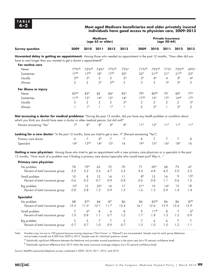#### **4–2 Most aged Medicare beneficiaries and older privately insured individuals have good access to physician care, 2009–2013**

|                                                                                                                                                                                                                                                      | <b>Medicare</b><br>(age 65 or older) |                  |                    |                  |                  | <b>Private insurance</b><br>(age 50-64) |                  |                    |                  |                  |
|------------------------------------------------------------------------------------------------------------------------------------------------------------------------------------------------------------------------------------------------------|--------------------------------------|------------------|--------------------|------------------|------------------|-----------------------------------------|------------------|--------------------|------------------|------------------|
| <b>Survey question</b>                                                                                                                                                                                                                               | 2009                                 | 2010             | 2011               | 2012             | 2013             | 2009                                    | 2010             | 2011               | 2012             | 2013             |
| Unwanted delay in getting an appointment: Among those who needed an appointment in the past 12 months, "How often did you                                                                                                                            |                                      |                  |                    |                  |                  |                                         |                  |                    |                  |                  |
| have to wait longer than you wanted to get a doctor's appointment?"                                                                                                                                                                                  |                                      |                  |                    |                  |                  |                                         |                  |                    |                  |                  |
| For routine care                                                                                                                                                                                                                                     |                                      |                  |                    |                  |                  |                                         |                  |                    |                  |                  |
| Never                                                                                                                                                                                                                                                | 77%ab                                | 75%ab            | $74%$ <sup>a</sup> | 77%ab            | 73% <sup>a</sup> | $71\%$ <sup>ab</sup>                    | 72%ab            | $71%$ <sup>a</sup> | 72%ab            | 69% <sup>a</sup> |
| Sometimes                                                                                                                                                                                                                                            | 17 <sup>ab</sup>                     | 17 <sup>ab</sup> | 18 <sup>a</sup>    | 17 <sup>ab</sup> | 20 <sup>a</sup>  | $22^{\circ}$                            | 21 <sub>ab</sub> | 21 <sup>a</sup>    | 21 <sup>ab</sup> | 23 <sup>a</sup>  |
| Usually                                                                                                                                                                                                                                              | 2 <sub>ab</sub>                      | 3 <sup>a</sup>   | 3                  | 3                | 3 <sup>a</sup>   | 3 <sup>a</sup>                          | $4^{\circ}$      | 4                  | 3 <sup>b</sup>   | $4^\alpha$       |
| Always                                                                                                                                                                                                                                               | 2                                    | $\overline{2}$   | 2 <sup>a</sup>     | $2^{ab}$         | 3                | 3                                       | 3                | 3 <sup>a</sup>     | $3^{\circ}$      | 3                |
| For illness or injury                                                                                                                                                                                                                                |                                      |                  |                    |                  |                  |                                         |                  |                    |                  |                  |
| Never                                                                                                                                                                                                                                                | 85 <sup>ab</sup>                     | 83 <sup>a</sup>  | 82                 | $84^\circ$       | $82^{\circ}$     | 79 <sup>a</sup>                         | 80 <sub>ap</sub> | 79                 | 80 <sup>a</sup>  | $77^{\circ}$     |
| Sometimes                                                                                                                                                                                                                                            | 11 <sup>ab</sup>                     | 13 <sup>a</sup>  | $14^\circ$         | 12 <sup>a</sup>  | $14^\circ$       | 17 <sup>ab</sup>                        | 15 <sup>a</sup>  | 17 <sup>a</sup>    | 16 <sup>ab</sup> | 17 <sup>a</sup>  |
| Usually                                                                                                                                                                                                                                              | $\overline{2}$                       | 2                | $\overline{2}$     | $\overline{2}$   | $2^{\alpha}$     | $\overline{2}$                          | 2                | 2                  | $\overline{2}$   | 3 <sup>a</sup>   |
| Always                                                                                                                                                                                                                                               | $\mathbf{1}$                         | 1 <sup>a</sup>   | $\mathbf{1}$       | 1 <sup>a</sup>   | $\mathbf{1}$     | $\overline{2}$                          | $2^{\alpha}$     | $\mathbf{1}$       | $2^{\alpha}$     | $\overline{2}$   |
| Not accessing a doctor for medical problems: "During the past 12 months, did you have any health problem or condition about<br>which you think you should have seen a doctor or other medical person, but did not?"                                  |                                      |                  |                    |                  |                  |                                         |                  |                    |                  |                  |
| Percent answering "Yes"                                                                                                                                                                                                                              | 7 <sup>a</sup>                       | 8 <sup>a</sup>   | 8 <sup>a</sup>     | 8 <sup>a</sup>   | 8 <sup>a</sup>   | $11^{\circ}$                            | 12 <sup>a</sup>  | 11 <sup>a</sup>    | $11^{\circ}$     | 11 <sup>a</sup>  |
|                                                                                                                                                                                                                                                      |                                      |                  |                    |                  |                  |                                         |                  |                    |                  |                  |
| Looking for a new doctor: "In the past 12 months, have you tried to get a new?" (Percent answering "Yes")                                                                                                                                            |                                      |                  |                    |                  |                  |                                         |                  |                    |                  |                  |
| Primary care doctor                                                                                                                                                                                                                                  | 6                                    | $\overline{7}$   | 6 <sup>b</sup>     | $\overline{7}$   | $\overline{7}$   | 8                                       | $\overline{7}$   | $\overline{7}$     | 7                | 8                |
| Specialist                                                                                                                                                                                                                                           | $14^{\circ}$                         | 13 <sup>ab</sup> | $14^\circ$         | 13 <sup>a</sup>  | 14               | 19 <sup>a</sup>                         | 15 <sup>a</sup>  | 16 <sup>a</sup>    | 18 <sup>a</sup>  | 16               |
| Getting a new physician: Among those who tried to get an appointment with a new primary care physician or a specialist in the past<br>12 months, "How much of a problem was it finding a primary care doctor/specialist who would treat you? Was it" |                                      |                  |                    |                  |                  |                                         |                  |                    |                  |                  |
| Primary care physician                                                                                                                                                                                                                               |                                      |                  |                    |                  |                  |                                         |                  |                    |                  |                  |
| No problem                                                                                                                                                                                                                                           | 78                                   | $79^\circ$       | 65                 | 72               | 70               | 71                                      | $69^\circ$       | 68                 | 75               | 67               |
| Percent of total insurance group                                                                                                                                                                                                                     | 5.0                                  | 5.2              | 3.6                | 4.7              | 5.2              | 5.4                                     | 4.8              | 4.5                | 5.0              | 5.2              |
| Small problem                                                                                                                                                                                                                                        | 10                                   | 8                | 12                 | 14               | 11               | 8 <sup>b</sup>                          | 12               | 16                 | 9                | 15 <sup>b</sup>  |
| Percent of total insurance group                                                                                                                                                                                                                     | 0.6                                  | 0.5              | 0.7                | 0.9              | 0.8              | 0.6                                     | 0.8              | 1.1                | 0.6              | 1.2              |
| Big problem                                                                                                                                                                                                                                          | 12 <sup>°</sup>                      | 12               | 23 <sup>°</sup>    | 14               | 17               | 21 <sup>a</sup>                         | 19               | $14^{\circ}$       | 15               | 18               |
| Percent of total insurance group                                                                                                                                                                                                                     | 0.8                                  | 0.8              | 1.3                | 0.9              | 1.3              | 1.6                                     | 1.3              | 0.9                | 1.0              | 1.4              |
| <b>Specialist</b>                                                                                                                                                                                                                                    |                                      |                  |                    |                  |                  |                                         |                  |                    |                  |                  |
| No problem                                                                                                                                                                                                                                           | 88                                   | $87^\circ$       | 84                 | 87               | 86               | 84                                      | 82 <sub>ab</sub> | 86                 | 86               | 87 <sup>b</sup>  |
| Percent of total insurance group                                                                                                                                                                                                                     | 12.5                                 | 11.0             | 12.1               | 11.7             | 12.4             | 16.1                                    | 12.6             | 13.9               | 15.6             | 13.9             |
| Small problem                                                                                                                                                                                                                                        | $\overline{7}$                       | 6 <sup>a</sup>   | 8                  | 6                | 8                | 9                                       | $11^{ab}$        | 8                  | 7                | 6 <sup>b</sup>   |
| Percent of total insurance group                                                                                                                                                                                                                     | 1.0                                  | 0.8              | 1.1                | 0.7              | 1.2              | 1.7                                     | 1.8              | 1.3                | 1.2              | 0.9              |
| Big problem                                                                                                                                                                                                                                          | 5                                    | 5                | 7                  | 7                | $\sqrt{5}$       | 7                                       | 6                | 6                  | 7                | 7                |
| Percent of total insurance group                                                                                                                                                                                                                     | 0.7                                  | 0.7              | 1.0                | 0.9              | $0.7$            | 1.3                                     | 1.0              | 1.0                | 1.2              | 1.1              |

Note: Numbers may not sum to 100 percent because missing responses ("Don't know" or "Refused") are not presented. Sample sizes for each group (Medicare and privately insured) are 4,000 from 2009 to 2013. Sample sizes for individual questions varied.

<sup>a</sup> Statistically significant difference between the Medicare and privately insured populations in the given year (at a 95 percent confidence level).

 $^{\rm b}$  Statistically significant difference from 2013 within the same insurance coverage category (at a 95 percent confidence level).

Source: MedPAC-sponsored telephone surveys conducted in 2009, 2010, 2011, 2012, and 2013.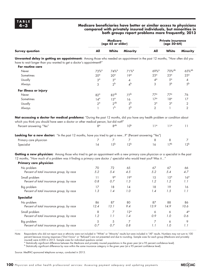#### **4–3 Medicare beneficiaries have better or similar access to physicians compared with privately insured individuals, but minorities in both groups report problems more frequently, 2013**

|                                                                                                                                                                                                                                                                                  |                                     | <b>Medicare</b><br>(age 65 or older) |                           | <b>Private insurance</b><br>(age 50-64) |                 |                 |
|----------------------------------------------------------------------------------------------------------------------------------------------------------------------------------------------------------------------------------------------------------------------------------|-------------------------------------|--------------------------------------|---------------------------|-----------------------------------------|-----------------|-----------------|
| <b>Survey question</b>                                                                                                                                                                                                                                                           | All                                 | White                                | <b>Minority</b>           | All                                     | White           | <b>Minority</b> |
| Unwanted delay in getting an appointment: Among those who needed an appointment in the past 12 months, "How often did you<br>have to wait longer than you wanted to get a doctor's appointment?"                                                                                 |                                     |                                      |                           |                                         |                 |                 |
| For routine care                                                                                                                                                                                                                                                                 |                                     |                                      |                           |                                         | 70%ab           | 65%ab           |
| Never<br>Sometimes                                                                                                                                                                                                                                                               | 73% <sup>a</sup><br>20 <sup>a</sup> | $74%$ <sup>a</sup>                   | $71%^{a}$<br>$19^{\circ}$ | $69\%$ <sup>a</sup><br>23 <sup>°</sup>  | 23 <sup>a</sup> | 25 <sup>a</sup> |
| Usually                                                                                                                                                                                                                                                                          | 3 <sup>a</sup>                      | $20^\circ$<br>3 <sup>a</sup>         |                           | $4^\circ$                               | $5^{\circ}$     | 4               |
| Always                                                                                                                                                                                                                                                                           | 3                                   | $2^{\mathsf{b}}$                     | 4<br>4 <sup>b</sup>       | 3                                       | 3 <sup>b</sup>  | 5 <sup>b</sup>  |
|                                                                                                                                                                                                                                                                                  |                                     |                                      |                           |                                         |                 |                 |
| For illness or injury                                                                                                                                                                                                                                                            |                                     |                                      |                           |                                         |                 |                 |
| Never                                                                                                                                                                                                                                                                            | $82^{\circ}$                        | 83 <sup>ab</sup>                     | 77 <sup>b</sup>           | $77^{\circ}$                            | $77^{\circ}$    | 76              |
| Sometimes                                                                                                                                                                                                                                                                        | $14^\circ$                          | 13 <sup>a</sup>                      | 16                        | 17 <sup>a</sup>                         | 18 <sup>a</sup> | 17              |
| Usually                                                                                                                                                                                                                                                                          | $2^{\alpha}$                        | $2^{ab}$                             | 3 <sup>b</sup>            | 3 <sup>a</sup>                          | 3 <sup>a</sup>  | 2               |
| Always                                                                                                                                                                                                                                                                           | 1                                   | 1 <sup>b</sup>                       | 3 <sup>b</sup>            | 2                                       | 1               | $\overline{2}$  |
| Not accessing a doctor for medical problems: "During the past 12 months, did you have any health problem or condition about<br>which you think you should have seen a doctor or other medical person, but did not?"                                                              |                                     |                                      |                           |                                         |                 |                 |
| Percent answering "Yes"                                                                                                                                                                                                                                                          | $R^{\alpha}$                        | 8 <sup>ab</sup>                      | 10 <sup>b</sup>           | 11 <sup>a</sup>                         | $11^{\circ}$    | 11              |
| Looking for a new doctor: "In the past 12 months, have you tried to get a new?" (Percent answering "Yes")                                                                                                                                                                        |                                     |                                      |                           |                                         |                 |                 |
| Primary care physician                                                                                                                                                                                                                                                           | 7                                   | 7                                    | 7                         | 8                                       | 8               | $\overline{7}$  |
|                                                                                                                                                                                                                                                                                  | 14                                  | 15 <sup>b</sup>                      | 12 <sup>b</sup>           | 16                                      | 17 <sup>b</sup> | 12 <sup>b</sup> |
| Specialist                                                                                                                                                                                                                                                                       |                                     |                                      |                           |                                         |                 |                 |
| Getting a new physician: Among those who tried to get an appointment with a new primary care physician or a specialist in the past<br>12 months, "How much of a problem was it finding a primary care doctor / specialist who would treat you? Was it"<br>Primary care physician |                                     |                                      |                           |                                         |                 |                 |
| No problem                                                                                                                                                                                                                                                                       | 70                                  | 72                                   | 65                        | 67                                      | 67              | 66              |
| Percent of total insurance group, by race                                                                                                                                                                                                                                        | 5.2                                 | 5.4                                  | 4.5                       | 5.2                                     | 5.4             | 4.7             |
| Small problem                                                                                                                                                                                                                                                                    | 11                                  | 9 <sup>a</sup>                       | 19 <sup>a</sup>           | 15                                      | 15 <sup>°</sup> | 16 <sup>a</sup> |
| Percent of total insurance group, by race                                                                                                                                                                                                                                        | 0.8                                 | 0.7                                  | 1.3                       | 1.2                                     | 1.2             | 1.1             |
|                                                                                                                                                                                                                                                                                  |                                     |                                      |                           |                                         |                 |                 |
| Big problem<br>Percent of total insurance group, by race                                                                                                                                                                                                                         | 17<br>1.3                           | 18<br>1.4                            | 14<br>1.0                 | 18<br>1.4                               | 19<br>1.5       | 16<br>1.1       |
|                                                                                                                                                                                                                                                                                  |                                     |                                      |                           |                                         |                 |                 |
| <b>Specialist</b>                                                                                                                                                                                                                                                                |                                     |                                      |                           |                                         |                 |                 |
| No problem                                                                                                                                                                                                                                                                       | 86                                  | 87                                   | 80                        | 87                                      | 88              | 86              |
| Percent of total insurance group, by race                                                                                                                                                                                                                                        | 12.4                                | 13.1                                 | 9.4                       | 13.9                                    | 14.9            | 10.6            |
| Small problem                                                                                                                                                                                                                                                                    | 8                                   | $\overline{7}$                       | 12 <sup>a</sup>           | 6                                       | 6               | $4^\circ$       |
| Percent of total insurance group, by race                                                                                                                                                                                                                                        | 1.2                                 | 1.1                                  | 1.4                       | 0.9                                     | 1.0             | 0.6             |
| Big problem                                                                                                                                                                                                                                                                      | $\sqrt{5}$                          | 5                                    | 7                         | 7                                       | 6               | 9               |
| Percent of total insurance group, by race                                                                                                                                                                                                                                        | 0.7                                 | 0.7                                  | 0.8                       | 1.1                                     | 1.0             | 1.1             |
|                                                                                                                                                                                                                                                                                  |                                     |                                      |                           |                                         |                 |                 |

Note: Respondents who did not report race or ethnicity were not included in "White" or "Minority" results but were included in "All" results. Numbers may not sum to 100 percent because missing responses ("Don't know" or "Refused") are not presented and due to rounding. Sample sizes for each group (Medicare and privately insured) were 4,000 in 2013. Sample sizes for individual questions varied.

 $\degree$  Statistically significant difference between the Medicare and privately insured populations in the given year (at a 95 percent confidence level).<br><sup>b</sup> Statistically significant difference by race within the same insur

Source: MedPAC-sponsored telephone surveys, conducted in 2013.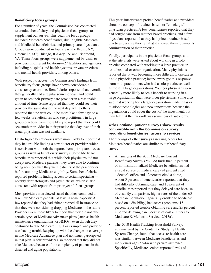#### **Beneficiary focus groups**

For a number of years, the Commission has contracted to conduct beneficiary and physician focus groups to supplement our survey. This year, the focus groups included Medicare beneficiaries, dual-eligible Medicare and Medicaid beneficiaries, and primary care physicians. Groups were conducted in four areas: the Bronx, NY; Greenville, SC; Chicago, IL/Gary, IN; and Richmond, VA. These focus groups were supplemented by visits to providers in different locations—27 facilities and agencies, including hospitals and health systems, private practices, and mental health providers, among others.

With respect to access, the Commission's findings from beneficiary focus groups have shown considerable consistency over time. Beneficiaries reported that, overall, they generally had a regular source of care and could get in to see their primary care provider in a reasonable amount of time. Some reported that they could see their provider the same day or the next day, while others reported that the wait could be more like a few days to a few weeks. Beneficiaries who see practitioners in large group practices were more likely to report that they could see another provider in their practice that day even if their usual physician was not available.

Dual-eligible beneficiaries were more likely to report that they had trouble finding a new doctor or provider, which is consistent with both the reports from prior years' focus groups as well as beneficiary surveys. Some Medicare beneficiaries reported that while their physicians did not accept new Medicare patients, they were able to continue being seen because they were patients of the practitioner before attaining Medicare eligibility. Some beneficiaries reported problems finding access to certain specialists notably dermatologists and psychiatrists, which is also consistent with reports from prior years' focus groups.

Most providers interviewed stated that they continued to take new Medicare patients, at least in some capacity. A few reported that they had either dropped all insurance or that they were considering dropping Medicare in the future. Providers were more likely to report that they did not take certain types of Medicare Advantage plans (such as health maintenance organizations, or HMOs), even though they continued to take Medicare FFS. For example, one provider was having trouble keeping up with the changes in coverage in one Medicare Advantage plan and no longer participated in that plan. A few providers also reported that they did not take Medicare because of the complexity of patients in the disabled and aging populations.

This year, interviewers probed beneficiaries and providers about the concept of retainer-based, or "concierge," physician practices. A few beneficiaries reported that they had sought care from retainer-based practices, and a few physicians reported that they had joined retainer-based practices because they felt that it allowed them to simplify administration of their practice.

Finally, participants in the physician focus groups and at the site visits were asked about working in a solo practice compared with working in a large practice or for a hospital or other organization. Many physicians reported that it was becoming more difficult to operate as a solo physician practice; interviewers got this response from both practitioners who had a solo practice as well as those in large organizations. Younger physicians were generally more likely to see a benefit to working in a large organization than were older physicians. Some also said that working for a larger organization made it easier to adopt technologies and new innovations because the organization could cover the cost of the investment, but they felt that the trade-off was some loss of autonomy.

#### **Other national patient surveys show results comparable with the Commission survey regarding beneficiaries' access to services**

The findings of other surveys assessing access for Medicare beneficiaries are similar to our beneficiary survey:

- An analysis of the 2011 Medicare Current Beneficiary Survey (MCBS) finds that 96 percent of noninstitutionalized Medicare beneficiaries had a usual source of medical care (74 percent cited a doctor's office and 12 percent cited a clinic). About 5 percent of beneficiaries reported that they had difficulty obtaining care, and 10 percent of beneficiaries reported that they delayed care because of cost. By comparison, higher rates of the under-65 Medicare population (generally entitled to Medicare based on a disability) had access problems: 15 percent reported trouble obtaining care and 25 percent reported delaying care because of cost (Centers for Medicare & Medicaid Services 2013a).
- The 2010 Health Tracking Household Survey, administered by the Center for Studying Health System Change, found that access to health care was similar between Medicare beneficiaries and individuals ages 55–64 with private insurance. Specifically, Medicare seniors reported levels of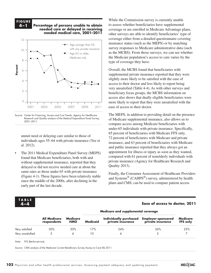### **F i g ure**

**4–1 Percentage of persons unable to obtain needed care or delayed in receiving needed medical care, 2001–2011 Volume growth has raised... FIGURE 4-1**



Source: Center for Financing, Access and Cost Trends, Agency for Healthcare Research and Quality analysis of the Medical Expenditure Panel Survey, 2001–2011.

unmet need or delaying care similar to those of individuals ages 55–64 with private insurance (Yee et al.  $2012$ ).

• The 2011 Medical Expenditure Panel Survey (MEPS) found that Medicare beneficiaries, both with and without supplemental insurance, reported that they delayed or did not receive needed care at about the same rates as those under 65 with private insurance (Figure 4-1). These figures have been relatively stable  $\frac{1 \text{ rad}}{\text{ord}} \text{Svetame}^{\text{@}}$ . since the middle of the 2000s, after declining in the early part of the last decade. For the mature to make the mature times because they kept resetting when I changed any data.

While the Commission survey is currently unable to assess whether beneficiaries have supplemental coverage or are enrolled in Medicare Advantage plans, other surveys are able to identify beneficiaries' type of coverage either from a detailed questionnaire covering insurance status (such as the MEPS) or by matching survey responses to Medicare administrative data (such as the MCBS). From those surveys, we can see whether the Medicare population's access to care varies by the type of coverage they have.

Overall, the MCBS found that beneficiaries with supplemental private insurance reported that they were slightly more likely to be satisfied with the ease of access to their doctor and less likely to report being very unsatisfied (Table 4-4). As with other surveys and beneficiary focus groups, the MCBS information on access also shows that dually eligible beneficiaries were more likely to report that they were unsatisfied with the ease of access to their doctor.

The MEPS, in addition to providing detail on the presence of Medicare supplemental insurance, also allows us to compare access among Medicare beneficiaries with under-65 individuals with private insurance. Specifically, 65 percent of beneficiaries with Medicare FFS only, 72 percent of beneficiaries with Medicare and private insurance, and 63 percent of beneficiaries with Medicare and public insurance reported that they always got an appointment for illness or injury as soon as they wanted, compared with 61 percent of nonelderly individuals with private insurance (Agency for Healthcare Research and Quality 2013).

Finally, the Consumer Assessment of Healthcare Providers and Systems® (CAHPS®) survey, administered by health e middle of the 2000s, after declining in the items and CMS, can be used to compare patient access

• Use direct selection tool to select items for modification. Otherwise if you use the black selection tool, they will reset to graph

#### default when you change the data. • Use paragraph styles (and object styles) to format. **T ABL E**

#### **4–4 Ease of access to doctor, 2011**

|                  |                             |                        | Medicare and supplemental coverage |                                             |                                                |                      |
|------------------|-----------------------------|------------------------|------------------------------------|---------------------------------------------|------------------------------------------------|----------------------|
|                  | All Medicare<br>respondents | Medicare<br><b>HMO</b> | <b>Medicaid</b>                    | Individually purchased<br>private insurance | <b>Employer-sponsored</b><br>private insurance | Medicare<br>FFS only |
| Very satisfied   | $30\%$                      | 30%                    | 17%                                | 34%                                         | 36%                                            | 2.5%                 |
| Very unsatisfied |                             |                        |                                    |                                             |                                                |                      |

Note: FFS (fee-for-service).

Source: CMS analysis of the Medicare Current Beneficiary Survey Access to Care file 2011.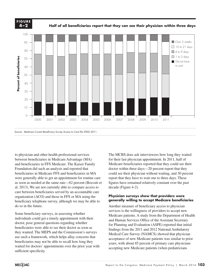**FIGURE 4-2 F i g ure 4–2**

**Half of all beneficiaries report that they can see their physician within three days**



to physician and other health professional services between beneficiaries in Medicare Advantage (MA) and beneficiaries in FFS Medicare. The Kaiser Family Foundation did such an analysis and reported that beneficiaries in Medicare FFS and beneficiaries in MA were generally able to get an appointment for routine care as soon as needed at the same rate—62 percent (Boccuti et al. 2013). We are not currently able to compare access to decade (Figure care between beneficiaries served by an accountable care  $\alpha$  organization (ACO) and those in FFS or MA using the **Physician surveys** beneficiary telephone survey, although we may be able to do so in the future.

Some beneficiary surveys, in assessing whether  $M_{\text{address}}$  and  $M_{\text{edges}}$  and  $M_{\text{edges}}$ individuals could get a timely appointment with their doctor, pose general questions regarding whether doctor, pose general questions regarding whether<br>beneficiaries were able to see their doctor as soon as they wanted. The MEPS and the Commission's surveys  $\overrightarrow{M}_{\text{Addi}}$ use such a framework, which helps allay concerns that  $\frac{\text{R}{\text{R}}}{\text{acceltance of new Medicine patients}}$ beneficiaries may not be able to recall how long they waited for doctors' appointments over the prior year with sufficient specificity.

The MCBS does ask interviewees how long they waited for their last physician appointment. In 2011, half of Medicare beneficiaries reported that they could see their doctor within three days—20 percent report that they could see their physician without waiting, and 30 percent report that they have to wait one to three days. These figures have remained relatively constant over the past decade (Figure 4-2).

**Wait times**

#### **Physician surveys show that providers were generally willing to accept Medicare beneficiaries**

the future. Another measure of beneficiary access to physician  $\blacksquare$ services is the willingness of providers to accept new Medicare patients. A study from the Department of Health als could get a timely appointment with their and Human Services Office of the Assistant Secretary for Planning and Evaluation (ASPE) reported that initial findings from the 2011 and 2012 National Ambulatory Medical Care Survey (NAMCS) showed that physician acceptance of new Medicare patients was similar to prior years, with about 85 percent of primary care physicians accepting new Medicare patients (when pediatricians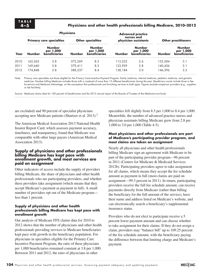#### **4–5 Physicians and other health professionals billing Medicare, 2010–2012**

| <b>Physicians</b>               |                            |                          |                     |                                    |                     |                            |                     |
|---------------------------------|----------------------------|--------------------------|---------------------|------------------------------------|---------------------|----------------------------|---------------------|
| <b>Primary care specialties</b> |                            | <b>Other specialties</b> |                     | nurses and<br>physician assistants |                     | <b>Other practitioners</b> |                     |
| Number                          | <b>Number</b><br>per 1,000 | <b>Number</b>            | Number<br>per 1,000 | Number                             | Number<br>per 1,000 | Number                     | Number<br>per 1,000 |
| 165.565                         | 3.8                        | 372.269                  | 8.5                 | 13.232                             | 2.6                 | 135.584                    | 3.7                 |
| 169,640                         | 3.8                        | 379.411                  | 8.5                 | 123.959                            | 2.8                 | 140.436                    | 3.1                 |
| 174.848                         | 3.8                        | 388,237                  | 8.4                 | 38.184                             | 3.0                 | 146.396                    | 3.2                 |
|                                 |                            |                          |                     |                                    |                     | <b>Advanced practice</b>   |                     |

Note: Primary care specialties are those eligible for the Primary Care Incentive Payment Program: family medicine, internal medicine, pediatric medicine, and geriatric medicine. Number billing Medicare includes those with a caseload of more than 15 different beneficiaries during the year. Beneficiary counts include those in feefor-service and Medicare Advantage, on the assumption that professionals are furnishing services to both types. Figures exclude nonperson providers (e.g., suppliers or lab facilities).

Source: Medicare claims data for 100 percent of beneficiaries and the 2013 annual report of the Boards of Trustees of the Medicare trust funds.

are excluded) and 90 percent of specialist physicians accepting new Medicare patients (Shartzer et al. 2013).<sup>2</sup>

The American Medical Association 2013 National Health Insurer Report Card, which assesses payment accuracy, timeliness, and transparency, found that Medicare was comparable with other large payers (American Medical Association 2013).

#### **Supply of physicians and other professionals billing Medicare has kept pace with enrollment growth, and most services are paid on assignment**

Other indicators of access include the supply of providers billing Medicare, the share of physicians and other health professionals who are participating providers, and whether these providers take assignment (which means that they accept Medicare's payment as payment in full). A small number of providers opt out of the Medicare program less than 1 percent.

#### **Supply of physicians and other health professionals billing Medicare has kept pace with enrollment growth**

Our analysis of Medicare FFS claims data for 2010 to 2012 shows that the number of physicians and other health professionals providing services to Medicare beneficiaries kept pace with growth in the beneficiary population. For physicians in specialties eligible for the Primary Care Incentive Payment Program, the ratio of these physicians per 1,000 beneficiaries remained constant at 3.8 per 1,000. Between 2011 and 2012, the ratio of physicians in other

specialties fell slightly from 8.5 per 1,000 to 8.4 per 1,000. Meanwhile, the number of advanced practice nurses and physician assistants billing Medicare grew from 2.8 per 1,000 to 3.0 per 1,000 (Table 4-5).

#### **Most physicians and other professionals are part of Medicare's participating provider program, and most claims are taken on assignment**

Nearly all physicians and other health professionals billing Medicare sign an agreement with Medicare to be part of the participating provider program—96 percent in 2011 (Centers for Medicare & Medicaid Services 2012b). Participating providers agree to take assignment for all claims, which means they accept the fee schedule amount as payment in full (most claims are paid on assignment—99.3 percent in 2011). In return, participating providers receive the full fee schedule amount, can receive payments directly from Medicare (rather than billing the beneficiary for the full amount of the service), have their name and address listed on Medicare's website, and can electronically search a beneficiary's supplemental insurance status.

Providers who do not elect to participate receive a 5 percent lower payment amount and can choose whether to take assignment for their claims. If they do not assign a claim, providers may "balance bill" up to 109.25 percent of the fee schedule amount, with the beneficiary paying the difference between that limiting charge and Medicare's payment.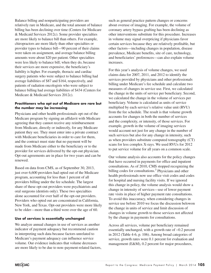Balance billing and nonparticipating providers are relatively rare in Medicare, and the total amount of balance billing has been declining over time (Centers for Medicare & Medicaid Services 2012c). Some provider specialties are more likely to balance bill than others. For example, chiropractors are more likely than other specialties or provider types to balance bill—90 percent of their claims were taken on assignment, and average balance billing amounts were about \$20 per patient. Other specialties were less likely to balance bill; when they do, because their services are more expensive, the beneficiary's liability is higher. For example, thoracic and cardiac surgery patients who were subject to balance billing had average liabilities of \$87 and \$164, respectively, and patients of radiation oncologists who were subject to balance billing had average liabilities of \$434 (Centers for Medicare & Medicaid Services 2012c).

#### **Practitioners who opt out of Medicare are rare but the number may be increasing**

Physicians and other health professionals opt out of the Medicare program by signing an affidavit with Medicare agreeing that they cannot receive any reimbursement from Medicare, directly or indirectly, for any Medicare patient they see. They must enter into a private contract with Medicare beneficiaries in order to care for them, and the contract must state that no payment will be made from Medicare either to the beneficiary or to the provider for services delivered by the opt-out physician. Opt-out agreements are in place for two years and can be renewed.

Based on data from CMS, as of September 30, 2013, just over 6,600 providers had opted out of the Medicare program, accounting for less than 1 percent of all providers billing under the fee schedule. The largest share of these opt-out providers were psychiatrists and oral surgeons (dentists only). These two specialties alone accounted for over half of the opt-out providers. Providers who opted out are concentrated in California, New York, and Texas. Opt-out providers were more likely to be older—more than a third were over the age of 60.

#### **Use of services is essentially unchanged**

We analyze annual changes in use of services as another indicator of payment adequacy but recommend caution in interpreting such data because factors unrelated to Medicare's payment adequacy can influence service volume. Our evidence indicates that volume decreases are more likely to be due to non–payment-related factors, such as general practice pattern changes or concerns about overuse of imaging. For example, the volume of coronary artery bypass grafting has been declining as other interventions substitute for this procedure. Increases in volume may signal overpricing if physicians favor certain services because they are relatively profitable, but other factors—including changes in population, disease prevalence, Medicare benefits, site of care, technology, and beneficiaries' preferences—can also explain volume increases.

For this year's analysis of volume changes, we used claims data for 2007, 2011, and 2012 to identify the services provided by physicians and other professionals billing under Medicare's fee schedule and calculate two measures of changes in service use. First, we calculated the change in the units of service per beneficiary. Second, we calculated the change in the volume of services per beneficiary. Volume is calculated as units of service multiplied by each service's relative value unit (RVU) from the fee schedule. The result is that volume growth accounts for changes in both the number of services and the complexity, or intensity, of those services. For example, growth in the volume of imaging services would account not just for any change in the number of such services but also for any change in intensity, such as when providers substitute computed tomography (CT) scans for less complex X-rays. We used RVUs for 2012 to put service volume for all years on a common scale.

Our volume analysis also accounts for the policy changes that have occurred in payments for office and inpatient consultations. As of 2010, CMS stopped recognizing the billing codes for consultations.<sup>3</sup> Physicians and other health professionals now use office visit codes and codes for hospital and nursing facility visits. If we ignored this change in policy, the volume analysis would show a change in intensity of services—use of lower payment rate visits in place of higher payment rate consultations. To avoid this inaccuracy, when considering changes in service use before 2010 we focus the discussion belowon the change in units of service and limit discussion of changes in volume growth to those services not affected by the change in payments for consultations.

Across all services, volume per beneficiary remained essentially unchanged, with a growth rate of −0.2 percent in 2012 (Table 4-6, p. 106). Among broad categories of service, growth rates were 0.1 percent for evaluation and management (E&M), 0.2 percent for major procedures,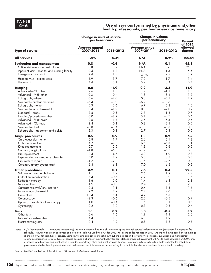#### **4–6 Use of services furnished by physicians and other health professionals, per fee-for-service beneficiary**

|                                               | <b>Change in units of service</b><br>per beneficiary |           | <b>Change in volume</b><br>per beneficiary | <b>Percent</b> |                               |
|-----------------------------------------------|------------------------------------------------------|-----------|--------------------------------------------|----------------|-------------------------------|
| <b>Type of service</b>                        | Average annual<br>2007-2011                          | 2011-2012 | <b>Average annual</b><br>2007-2011         | 2011-2012      | of 2012<br>allowed<br>charges |
| <b>All services</b>                           | 1.4%                                                 | $-0.4%$   | N/A                                        | $-0.2%$        | 100.0%                        |
| <b>Evaluation and management</b>              | 0.8                                                  | $-0.4$    | N/A                                        | 0.1            | 45.8                          |
| Office visit-new and established              | 0.8                                                  | 0.2       | N/A                                        | 0.6            | 25.3                          |
| Inpatient visit-hospital and nursing facility | 0.4                                                  | $-1.8$    | N/A                                        | $-1.3$         | 15.5                          |
| Emergency room visit                          | 2.4                                                  | 1.7       | 4.0%                                       | 2.5            | 3.2                           |
| Hospital visit-critical care                  | 6.9                                                  | 1.7       | 7.0                                        | 1.7            | 1.4                           |
| Home visit                                    | 4.4                                                  | 0.1       | 5.2                                        | 0.4            | 0.4                           |
| <b>Imaging</b>                                | 0.6                                                  | $-1.9$    | 0.2                                        | $-3.2$         | 11.9                          |
| Advanced-CT: other                            | 2.6                                                  | 1.7       | 1.7                                        | $-1.1$         | 1.7                           |
| Advanced-MRI: other                           | 0.3                                                  | $-0.4$    | $-1.3$                                     | $-3.4$         | 1.2                           |
| Echography-heart                              | 0.6                                                  | $-2.0$    | $0.0\,$                                    | $-5.1$         | 1.2                           |
| Standard-nuclear medicine                     | $-5.4$                                               | $-8.0$    | $-6.9$                                     | $-13.6$        | 1.0                           |
| Echography-other                              | 5.3                                                  | 2.6       | 6.7                                        | 5.8            | 1.0                           |
| Standard-musculoskeletal                      | 0.4                                                  | $-1.2$    | 0.0                                        | $-2.0$         | 0.9                           |
| Standard-breast                               | 2.8                                                  | $-0.3$    | 3.5                                        | $-1.6$         | 0.7                           |
| Imaging/procedure-other                       | 0.0                                                  | $-8.2$    | 5.1                                        | $-4.7$         | 0.6                           |
| Advanced-MRI: brain                           | $-0.6$                                               | $-1.3$    | $-3.6$                                     | $-5.3$         | 0.6                           |
| Advanced-CT: head                             | 2.4                                                  | 0.1       | 0.8                                        | $-2.4$         | 0.5                           |
| Standard-chest                                | $-0.8$                                               | $-3.4$    | $-1.3$                                     | $-3.8$         | 0.5                           |
| Echography-abdomen and pelvis                 | 2.3                                                  | 0.1       | 2.7                                        | 0.3            | 0.5                           |
| <b>Major procedures</b>                       | 0.5                                                  | $-0.9$    | 1.8                                        | 0.2            | 7.5                           |
| Cardiovascular-other                          | $-0.8$                                               | $-1.7$    | 2.6                                        | $-0.1$         | 1.8                           |
| Orthopedic-other                              | 4.7                                                  | $-4.7$    | 6.5                                        | $-5.3$         | 1.1                           |
| Knee replacement                              | 0.7                                                  | 2.5       | 1.3                                        | 2.6            | 0.5                           |
| Coronary angioplasty                          | $-1.8$                                               | $-6.0$    | $-1.7$                                     | $-5.8$         | 0.3                           |
| Hip replacement                               | 2.4                                                  | 4.7       | 3.0                                        | 4.9            | 0.3                           |
| Explore, decompress, or excise disc           | 3.0                                                  | 2.9       | 5.0                                        | 3.8            | 0.3                           |
| Hip fracture repair                           | $-1.7$                                               | $-2.8$    | $-1.5$                                     | $-2.7$         | 0.2                           |
| Coronary artery bypass graft                  | $-6.8$                                               | $-6.8$    | $-7.0$                                     | $-6.6$         | 0.2                           |
| <b>Other procedures</b>                       | 3.2                                                  | 0.1       | 2.6                                        | 0.4            | 22.5                          |
| Skin-minor and ambulatory                     | 1.1                                                  | 1.9       | 2.5                                        | 1.9            | 4.7                           |
| Outpatient rehabilitation                     | 6.4                                                  | $-0.5$    | 7.2                                        | 0.0            | $3.5\,$                       |
| Radiation therapy                             | $-1.6$                                               | $-5.0$    | 1.4                                        | $-6.3$         | 2.1                           |
| Minor-other                                   | 1.9                                                  | $-0.8$    | 2.4                                        | 0.3            | 2.0                           |
| Cataract removal/lens insertion               | $-0.8$                                               | 1.1       | $-0.4$                                     | 1.3            | 1.6                           |
| Minor-musculoskeletal                         | 2.2                                                  | 2.2       | 2.8                                        | 2.0            | 1.4                           |
| Eye-other                                     | 10.4                                                 | 8.4       | 4.2                                        | 5.5            | 1.0                           |
| Colonoscopy                                   | $-2.3$                                               | $-0.6$    | $-2.2$                                     | $-0.5$         | 0.9                           |
| Upper gastrointestinal endoscopy              | 1.0                                                  | $-0.4$    | 1.5                                        | 0.1            | 0.5                           |
| Cystoscopy                                    | $-0.2$                                               | 1.0       | $-0.3$                                     | 0.6            | 0.4                           |
| <b>Tests</b>                                  | 1.1                                                  | 0.2       | 3.0                                        | $-0.5$         | 5.2                           |
| Other tests                                   | 0.6                                                  | 1.6       | 1.9                                        | $-1.1$         | 2.0                           |
| Laboratory tests-other                        | 4.4                                                  | 1.8       | 6.3                                        | 1.9            | 1.8                           |
| Electrocardiograms                            | 0.4                                                  | $-1.9$    | 0.8                                        | $-1.8$         | 0.5                           |

Note: N/A (not available), CT (computed tomography). Volume is measured as units of service multiplied by each service's relative value unit (RVU) from the physician fee schedule. To put service use in each year on a common scale, we used the RVUs for 2012. For billing codes not used in 2012, we imputed RVUs based on the average change in RVUs for each type of service. Some low-volume categories are not shown but are included in the summary calculations. Evaluation and management volume is not reported for some types of service because a change in payment policy for consultations prevented assignment of RVUs to those services. For 2007, units of service for office visits and inpatient visits include, respectively, office and inpatient consultations. Laboratory tests include tests billable under the fee schedule for physicians and other health professionals and excludes services billable under the laboratory fee schedule. Numbers may not sum to totals due to rounding.

Source: MedPAC analysis of claims data for 100 percent of Medicare beneficiaries.

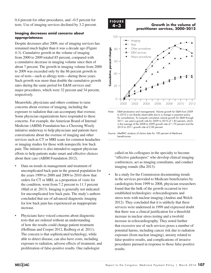0.4 percent for other procedures, and −0.5 percent for tests. Use of imaging services declined by 3.2 percent.

#### **Imaging decreases amid concerns about appropriateness**

Despite decreases after 2009, use of imaging services has remained much higher than it was a decade ago (Figure 4-3). Cumulative growth in the volume of imaging from 2000 to 2009 totaled 85 percent, compared with a cumulative decrease in imaging volume since then of about 7 percent. The growth in imaging volume from 2000 to 2009 was exceeded only by the 86 percent growth in use of tests—such as allergy tests—during those years. Such growth was more than double the cumulative growth rates during the same period for E&M services and major procedures, which were 32 percent and 34 percent, respectively.

Meanwhile, physicians and others continue to raise concerns about overuse of imaging, including the exposure to radiation that can accompany that overuse. Some physician organizations have responded to these concerns. For example, the American Board of Internal Medicine (ABIM) Foundation has a Choosing Wisely initiative underway to help physicians and patients have conversations about the overuse of imaging and other services such as CT or MRI scans for common headaches or imaging studies for those with nonspecific low back pain. The initiative is also intended to support physician efforts to help patients make smart and effective choices about their care (ABIM Foundation 2012).

- Data on trends in management and treatment of uncomplicated back pain in the general population for the years 1999 to 2000 and 2009 to 2010 show that orders for CT or MRI, as a proportion of visits for the condition, went from 7.2 percent to 11.3 percent (Mafi et al. 2013). Imaging is generally not indicated for uncomplicated low back pain. The study's authors concluded that use of advanced diagnostic imaging for low back pain has experienced an inappropriate increase.
- Physicians have voiced concerns about diagnostic tests that are ordered without an understanding of how the results could change patient treatment (Hoffman and Cooper 2012, Redberg et al. 2011). The concern is that sophisticated technology, while able to detect disease, can also have costs, including exposure to radiation, adverse effects of treatment, and proliferation of false-positive results. One radiologist

#### **F i g ure 4-2 Volume growth has raised... FIGURE**

#### **4–3 Growth in the volume of practitioner services, 2000–2012**



Note: E&M (evaluation and management). Volume growth for E&M from 2009 to 2010 is not directly observable due to a change in payment policy for consultations. To compute cumulative volume growth for E&M through 2011, we used a growth rate for 2009 to 2010 of 1.85 percent, which is the average of the 2008 to 2009 growth rate of 1.70 percent and the 2010 to 2011 growth rate of 2.00 percent.

Source: MedPAC analysis of claims data for 100 percent of Medicare beneficiaries.

Note: Note and Source in Indiana Source in Indiana Source in Indiana Source in Indiana Source in Indiana Source

called on his colleagues in the specialty to become "effective gatekeepers" who develop clinical imaging conferences, act as imaging consultants, and conduct imaging rounds (Jha 2013).

• In a study for the Commission documenting trends in the services provided to Medicare beneficiaries by cardiologists from 1999 to 2008, physician researchers found that the bulk of the growth occurred in two established technologies: echocardiograms and stress tests with nuclear imaging (Andrus and Welch 2012). They concluded that it is unlikely that these services were underused in 1999 and expressed doubt that there was a clinical justification for a threefold increase in nuclear stress testing and a twofold increase in echocardiography. They noted further that excessive use of such services poses a number of potential harms, including cancer risk due to radiation exposure (from nuclear imaging), anxiety related to false-positive results, and complications of invasive procedures pursued in response to those false-positive results.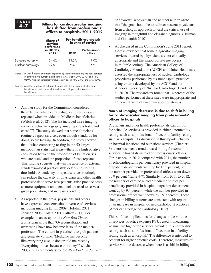#### **4–7 Billing for cardiovascular imaging has shifted from professionals' offices to hospitals, 2011–2012**

|                    | <b>Share of</b><br>services    | Per beneficiary growth<br>in units of service |                        |  |  |
|--------------------|--------------------------------|-----------------------------------------------|------------------------|--|--|
|                    | performed<br>in HOPDs,<br>2012 | <b>HOPD</b>                                   | Professional<br>office |  |  |
| Echocardiography   | 34.6%                          | 13.5%                                         | -9 0%                  |  |  |
| Nuclear cardiology | 39.O                           | 94                                            | $-1.5.9$               |  |  |
|                    |                                |                                               |                        |  |  |

Note: HOPD (hospital outpatient department). Echocardiography includes services in ambulatory payment classification (APC) 0269, APC 0270, and APC 0697. Nuclear cardiology includes services in APC 0377 and APC 0398.

Source: MedPAC analysis of outpatient claims data for 5 percent of Medicare beneficiaries and carrier claims data for 100 percent of Medicare beneficiaries.

- Another study for the Commission considered the extent to which certain diagnostic services are repeated when provided to Medicare beneficiaries (Welch et al. 2012). The list included three imaging services: echocardiography, imaging stress tests, and chest CT. The study showed that some clinicians routinely repeat services, even though standards for doing so are lacking. In addition, the study showed that—when comparing testing in the 50 largest metropolitan statistical areas—there is a high positive correlation between the proportion of beneficiaries who are tested and the proportion of tests repeated. This finding suggests that—in the absence of external standards—local practice style determines testing thresholds. A tendency to repeat services routinely can reduce the capacity of physicians and other health professionals to serve new patients, raise practice costs as more equipment and personnel are used to serve a given population, and increase spending.
- As reported in the press, physicians and others have expressed concerns about overuse of services, including imaging (Elton 2009, Holohan 2011, Johnson 2008, Kolata 2011, Palfrey 2011). For example, in an essay for the *New York Times*, a physician wrote that "Overconsultation and overtesting have now become facts of the medical profession. The culture in practice is to grab patients and generate volume. 'Medicine has become like everything else,' a doctor told me recently. 'Everything moves because of money.'" (Juahar 2008). In a commentary for the *New England Journal*

*of Medicine*, a physician and another author wrote that "the goal should be to redirect nascent physicians from a shotgun approach toward the critical use of imaging in thoughtful and elegant diagnosis" (Hillman and Goldsmith 2010).

• As discussed in the Commission's June 2011 report, there is evidence that some diagnostic imaging services ordered by physicians are not clinically appropriate and that inappropriate use occurs in multiple settings. The American College of Cardiology Foundation (ACCF) and UnitedHealthcare assessed the appropriateness of nuclear cardiology procedures performed by six nonhospital practices using criteria developed by the ACCF and the American Society of Nuclear Cardiology (Hendel et al. 2010). The researchers found that 14 percent of the studies performed at these sites were inappropriate and 15 percent were of uncertain appropriateness.

#### **Much of imaging decrease is due to shift in billing for cardiovascular imaging from professionals' offices to hospitals**

Physicians and other health professionals can bill for fee schedule services as provided in either a nonfacility setting, such as a professional office, or a facility setting, such as a hospital. As discussed in this report's chapter on hospital inpatient and outpatient services (Chapter 3), there has been a trend toward billing for some services in hospitals instead of professionals' offices. For instance, in 2012 compared with 2011, the number of echocardiograms per beneficiary provided in hospital outpatient departments went up by 13.5 percent, but the number provided in professional offices went down by 9 percent (Table 4-7). Similarly, from 2011 to 2012, the number of cardiac nuclear medicine studies per beneficiary provided in hospital outpatient departments went up by 9.4 percent, while the number provided in professional offices went down by 15.9 percent. These changes in billing patterns are consistent with reports of an increase in hospital-owned cardiologist practices (American College of Cardiology 2012).

This shift has implications for changes in the volume of services. Practice expense RVUs used in measuring volume are higher for services provided in a nonfacility setting, such as a professional office, than in a facility setting, such as a hospital.<sup>4</sup> The difference is intended to account for higher practice costs. Therefore, measures of service volume decrease when there is a shift in billing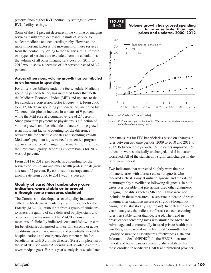patterns from higher RVU nonfacility settings to lower RVU facility settings.

Some of the 3.2 percent decrease in the volume of imaging services results from decreases in units of service for nuclear medicine and echocardiography. However, the more important factor is the movement of these services from the nonfacility setting to the facility setting. If these two types of services are excluded from the calculations, the volume of all other imaging services from 2011 to 2012 would show a decrease of 1.9 percent instead of 3.2 percent.

#### **Across all services, volume growth has contributed to an increase in spending**

For all services billable under the fee schedule, Medicare spending per beneficiary has increased faster than both the Medicare Economic Index (MEI) and updates to the fee schedule's conversion factor (Figure 4-4). From 2000 to 2012, Medicare spending per beneficiary increased by 72 percent despite an increase in updates of 9 percent, while the MEI rose at a cumulative rate of 27 percent. Since growth in payments to physicians is a function of volume growth and fee schedule updates, volume growth is an important factor accounting for the difference between the fee schedule updates and spending growth. Medicare's payment adjustments for incentive programs are another source of changes in payments. For example, the Physician Quality Reporting System bonus for 2012 was 0.5 percent.<sup>5</sup>

From 2011 to 2012, per beneficiary spending for the services of physicians and other health professionals grew at a rate of 2 percent. By contrast, the average annual growth rate from 2000 to 2011 was 4.9 percent.

#### **Quality of care: Most ambulatory care indicators were stable or improved, although some measures declined**

The Commission developed a set of quality indicators, called the Medicare Ambulatory Care Indicators for the Elderly (MACIEs), with input from a group of clinicians, to assess the quality of care delivered by physicians and other health professionals. The MACIEs consist of 32 measures of clinically indicated acute and follow-up care for beneficiaries diagnosed with certain chronic or acute conditions, as well as 6 measures of potentially avoidable hospitalizations and emergency department visits for beneficiaries with 5 chronic diseases (for a complete list of the MACIEs, see online Appendix 4-B, available at http:// www.medpac.gov). For this year's analysis, we calculated



#### **4–4 Volume growth has caused spending to increase faster than input prices and updates, 2000–2012 Volume growth has raised... FIGURE**



Note: MEI (Medicare Economic Index).

Source: 2013 annual report of the Boards of Trustees of the Medicare trust funds and Office of the Actuary 2013.

these measures for FFS beneficiaries based on changes in rates between two time periods, 2009 to 2010 and 2011 to 2012. Between these periods, 18 indicators improved, 15 indicators were statistically unchanged, and 5 indicators worsened. All of the statistically significant changes in the rates were modest.

Two indicators that worsened slightly were the rate of beneficiaries with a breast cancer diagnosis who or beneficiantly with a breast cancer diagnosis who<br>received a chest X-ray at initial diagnosis and the rate of mammography surveillance following diagnosis. In both cases, it is possible that physicians used other diagnostic imaging modalities such as MRI or CT that were not  $\frac{1}{2}$  included in these measures—a separate indicator of breast included in these measures—a separate indicator of breast imaging after diagnosis increased slightly (though not enough to be statistically significant). In contrast to recent years' analyses, the indicator of breast cancer screening rates was stable rather than decreased. The trend in breast cancer screening rates was similar for Medicare Advantage and commercially insured private health plan enrollees, as measured in the National Committee for Quality Assurance's Healthcare Effectiveness Data and Information Set® (HEDIS®). In the HEDIS measures, the rates of breast cancer screening also stabilized for those enrolled in Medicare HMOs and preferred provider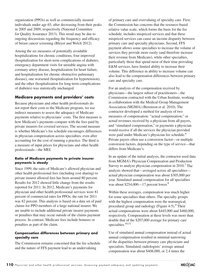organization (PPOs) as well as commercially insured individuals under age 65, after decreasing from their peaks in 2005 and 2009, respectively (National Committee for Quality Assurance 2013). This trend may be due to ongoing discussions regarding the frequency and efficacy of breast cancer screening (Bleyer and Welch 2012).

Among the six measures of potentially avoidable hospitalizations for chronic conditions, four improved (hospitalization for short-term complications of diabetes, emergency department visits for unstable angina with coronary artery disease, hospitalization for heart failure, and hospitalization for chronic obstructive pulmonary disease), one worsened (hospitalization for hypertension), and the other (hospitalization for long-term complications of diabetes) was statistically unchanged.

### **Medicare payments and providers' costs**

Because physicians and other health professionals do not report their costs to the Medicare program, we use indirect measures to assess the adequacy of Medicare payments relative to physicians' costs. The first measure is how Medicare's payments compare with the fees paid by private insurers for covered services. The second measure is whether Medicare's fee schedule encourages differences in physician compensation across specialties, even after accounting for the cost of running a practice. The third is a measure of input prices for physicians and other health professionals—the MEI.

#### **Ratio of Medicare payments to private insurer payments is steady**

Since 1999, the ratio of Medicare's allowed physician and other health professional fees (including cost sharing) to private insurer allowed fees has been around 80 percent. Results for 2012 showed little change from the results reported for 2011. In 2012, Medicare's payments for physician and other health professional services were 81 percent of commercial rates for PPOs; the rate for 2011 was 82 percent. This analysis is based on a data set of paid claims for PPO members of a large national insurer. We are unable to include additional private insurer payments or penalties that may occur outside of the claims payment process. In contrast, Medicare fees include bonuses or penalties as part of the claim.

#### **Compensation differences between primary and specialty care**

The Commission remains concerned that the fee schedule and the nature of FFS payment lead to an undervaluing

of primary care and overvaluing of specialty care. First, the Commission has concerns that the resource-based relative value scale, which forms the basis for the fee schedule, includes mispriced services and that these mispriced services can cause an income disparity between primary care and specialty physicians. Second, FFS payment allows some specialties to increase the volume of services they provide more easily (and therefore increase their revenue from Medicare), while other specialties, particularly those that spend most of their time providing E&M services, have limited ability to increase their volume. This difference in ability to increase volume can also lead to the compensation differences between primary care and specialty care.

For an analysis of the compensation received by physicians—the largest subset of practitioners—the Commission contracted with the Urban Institute, working in collaboration with the Medical Group Management Association (MGMA) (Berenson et al. 2010). The contractor developed a method for analysis of two measures of compensation: "actual compensation," or actual revenues received by a physician from all payers, and "simulated compensation," or payments a physician would receive if all the services the physician provided were paid under Medicare's physician fee schedule.<sup>6</sup> Private payers often use a conversion factor—or multiple conversion factors, depending on the type of service—that differs from Medicare's.

In an update of the initial analysis, the contractor used data from MGMA's Physician Compensation and Production Survey to analyze physician compensation in  $2010$ .<sup>7</sup> The analysis showed that—averaged across all specialties actual physician compensation was about \$305,000 per year. Simulated annual compensation for all specialties was about \$254,000—17 percent lower.<sup>8</sup>

Within these averages, compensation was much higher for some specialties than others. The specialty groups with the highest compensation were the nonsurgical, procedural group and radiology (Figure 4-5).<sup>9</sup> Their actual compensations were about \$445,000 and \$460,000, respectively. Compensation at these levels was more than double that of the \$207,000 average for primary care specialties. $10,11$ 

Use of simulated annual compensation instead of actual annual compensation resulted in minimal narrowing of the disparities between primary care physicians and specialists. Simulated, radiologists' average annual compensation was about \$408,000, or 2.4 times the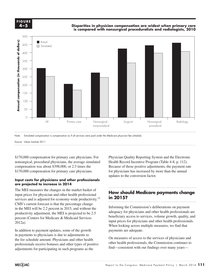**FIGURE F i g ure 4-5 4–5**

#### **Disparities in physician compensation are widest when primary care is compared with nonsurgical proceduralists and radiologists, 2010**



Note: Simulated compensation is compensation as if all services were paid under the Medicare physician fee schedule.

Source: Urban Institute 2011.

\$170,000 compensation for primary care physicians. For nonsurgical, procedural physicians, the average simulated compensation was about \$398,000, or 2.3 times the \$170,000 compensation for primary care physicians.

#### **Input costs for physicians and other professionals**  are projected to increase in 2014

The MEI measures the changes in the market basket of  $\mathbf{H}_{\text{max}}$ input prices for physician and other health professional  $\frac{1}{2}$  in 2015? services and is adjusted for economy-wide productivity.<sup>12</sup>  $CMS$ 's current forecast is that the percentage change productivity adjustment, the MEI is projected to be 2.5 percent (Centers for Medicare & Medicaid Services 2012a).

In addition to payment updates, some of the growth in address to physicians is due to adjustments to format. the fee schedule amount. Physicians and other health  $\Box$  On measures of access to the services professionals receive bonuses and other types of positive adjustments for participating in such programs as the

Physician Quality Reporting System and the Electronic Health Record Incentive Program (Table 4-8, p. 112). Because of those positive adjustments, the payment rate for physicians has increased by more than the annual updates to the conversion factor.

## **How should Medicare payments change in 2015?**

Informing the Commission's deliberations on payment adequacy for physicians and other health professionals are Figure acquisition, the MET is projected to be 2.5 beneficiary access to services, volume growth, quality, and  $\int$ input prices for physicians and other health professionals. When looking across multiple measures, we find that payments are adequate. in the MEI will be 2.2 percent in 2015, and without the  $\frac{1}{2}$  informing the Commission s deliberations on payment

> On measures of access to the services of physicians and other health professionals, the Commission continues to find—consistent with our findings over many years—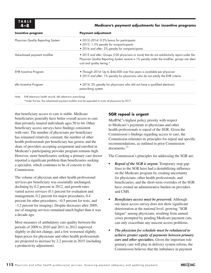#### **4–8 Medicare's payment adjustments for incentive programs**

| Incentive program                                                      | <b>Payment adjustment</b>                                                                                                                                                                                                   |
|------------------------------------------------------------------------|-----------------------------------------------------------------------------------------------------------------------------------------------------------------------------------------------------------------------------|
| Physician Quality Reporting System                                     | • 2012-2014: 0.5% bonus for participants<br>• 2015: 1.5% penalty for nonparticipants<br>• 2016 and after: 2% penalty for nonparticipants                                                                                    |
| Value-based payment modifier                                           | • 2015 and after: Groups (100 physicians or more) that do not satisfactorily report under the<br>Physician Quality Reporting System receive a 1% penalty under the modifier; groups can elect<br>cost and quality tiering.* |
| <b>EHR</b> Incentive Program                                           | • Through 2014: Up to \$44,000 over five years is available per physician<br>. 2015 and after: 1% penalty for physicians who do not satisfy the EHR criteria                                                                |
| eRx Incentive Program                                                  | . 2014: 2% penalty for physicians who did not have a qualified electronic<br>prescribing system                                                                                                                             |
| EHR (electronic health record), eRx (electronic prescribing).<br>Note: | *Under the law, the value-based payment modifier must be expanded to cover all physicians by 2017.                                                                                                                          |

that beneficiary access to care is stable. Medicare beneficiaries generally have better overall access to care than privately insured individuals ages 50 to 64. Other beneficiary access surveys have findings consistent with ours. The number of physicians per beneficiary has remained relatively constant, the number of other health professionals per beneficiary has grown, and the share of providers accepting assignment and enrolled in Medicare's participating provider program remains high. However, more beneficiaries seeking a primary care doctor reported a significant problem than beneficiaries seeking a specialist, which continues to be of concern to the **Commission** 

The volume of physician and other health professional services per beneficiary was essentially unchanged, declining by 0.2 percent in 2012, and growth rates varied across services (0.1 percent for evaluation and management, 0.2 percent for major procedures, 0.4 percent for other procedures, −0.5 percent for tests, and –3.2 percent for imaging). Despite decreases after 2009, use of imaging services remained much higher than it was a decade ago.

Most measures of ambulatory care quality between the periods of 2009 to 2010 and 2011 to 2012 improved slightly or did not change, and a few worsened slightly. Input prices for physicians and other health professionals are projected to increase by 2.2 percent in 2015 (including a productivity adjustment).

## **SGR repeal is urgent**

MedPAC's highest policy priority with respect to Medicare's payments to physicians and other health professionals is repeal of the SGR. Given the Commission's findings regarding access to care, the Commission reiterates its principles for repeal and specific recommendations, as outlined in prior Commission documents.<sup>13</sup>

The Commission's principles for addressing the SGR are:

- *Repeal of the SGR is urgent.* Temporary stop-gap fixes to the SGR have had a destabilizing influence on the Medicare program by creating uncertainty for physicians, other health professionals, and beneficiaries, and the short-term overrides of the SGR have created an administrative burden on providers and CMS.
- *Beneficiary access must be preserved.* Although our latest access survey does not show significant deterioration at the national level, growing "SGR fatigue" among physicians, resulting from annual crises prompted by pending Medicare payment cuts, can only exacerbate any nascent access problems.
- *• The physician fee schedule must be rebalanced to achieve greater equity of payments between primary care and other specialties.* Given the important role primary care will play in delivery system reform, the Commission believes that the imbalance in payment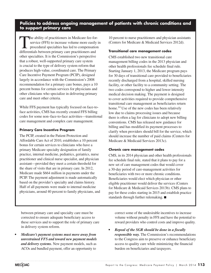## **Policies to address ongoing management of patients with chronic conditions and to support primary care**

The ability of practitioners in Medicare fee-forservice (FFS) to increase volume more easily in procedural specialties has led to compensation differentials between primary care practitioners and other specialties. It is the Commission's perspective that a robust, well-supported primary care system is crucial to the type of delivery system reform that produces high-value, coordinated care. The Primary Care Incentive Payment Program (PCIP), designed largely in accordance with the Commission's 2008 recommendation for a primary care bonus, pays a 10 percent bonus for certain services for physicians and other clinicians who specialize in delivering primary care and meet other criteria.

While FFS payment has typically focused on face-toface activities, CMS has recently created FFS billing codes for some non–face-to-face activities—transitional care management and complex care management.

#### **Primary Care Incentive Program**

The PCIP, created in the Patient Protection and Affordable Care Act of 2010, establishes a 10 percent bonus for certain services to clinicians who have a primary Medicare specialty designation of family practice, internal medicine, pediatrics, geriatrics, nurse practitioner and clinical nurse specialist, and physician assistant—provided they meet a certain threshold for the share of visits that are in primary care. In 2012, Medicare made \$664 million in payments under the PCIP. The payment adjustment is made automatically based on the provider's specialty and claims history. Half of all payments were made to internal medicine physicians, around 40 percent to family physicians, and

10 percent to nurse practitioners and physician assistants (Centers for Medicare & Medicaid Services 2012d).

#### **Transitional care management codes**

CMS established two new transitional care management billing codes in the 2013 physician and other health professionals fee schedule final rule. Starting January 1, 2013, the Medicare program pays for 30 days of transitional care provided to beneficiaries recently discharged from a hospital, skilled nursing facility, or other facility to a community setting. The two codes correspond to higher and lower intensity medical decision making. The payment is designed to cover activities required to provide comprehensive transitional care management as beneficiaries return home.<sup>14</sup> Use of the new codes has been relatively low due to claims processing issues and because there is often a lag for clinicians to adopt new billing conventions. CMS has released new guidance for billing and has modified its payment processes to clarify when providers should bill for the service, which should increase the number of paid claims (Centers for Medicare & Medicaid Services 2013c).

#### **Chronic care management codes**

CMS, in its 2014 physician and other health professionals fee schedule final rule, stated that it plans to pay for a new set of care management codes that would cover a 30-day period of care-management activities for beneficiaries with two or more chronic conditions. Beneficiaries would elect which physician or other eligible practitioner would deliver the services (Centers for Medicare & Medicaid Services 2013b). CMS plans to pay for these codes starting in 2015 and establish practice standards through further rulemaking. ■

between primary care and specialty care must be corrected to ensure adequate beneficiary access to these services and to support the role of primary care in delivery system reform.

*• Medicare's payment systems must move away from unrestrained FFS and toward new payment models and delivery systems.* New payment models, such as ACOs and bundled payment, offer an opportunity to

correct some of the undesirable incentives to increase volume without penalty in FFS and have the potential to reward providers who control costs and improve quality.

*• Repeal of the SGR should be done in a fiscally responsible way.* The Commission's recommendations to the Congress aim to preserve or enhance beneficiary access to quality care while minimizing the financial burden on beneficiaries and taxpayers.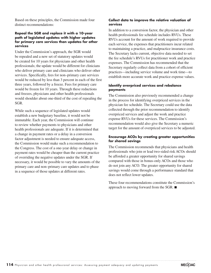Based on these principles, the Commission made four distinct recommendations:

#### **Repeal the SGR and replace it with a 10-year path of legislated updates with higher updates for primary care services than updates for other services**

Under the Commission's approach, the SGR would be repealed and a new set of statutory updates would be created for 10 years for physicians and other health professionals; the update would be different for clinicians who deliver primary care and clinicians who deliver other services. Specifically, fees for non–primary care services would be reduced by less than 3 percent in each of the first three years, followed by a freeze. Fees for primary care would be frozen for 10 years. Through these reductions and freezes, physicians and other health professionals would shoulder about one-third of the cost of repealing the SGR.

While such a sequence of legislated updates would establish a new budgetary baseline, it would not be immutable. Each year, the Commission will continue to review whether payments to physicians and other health professionals are adequate. If it is determined that a change in payment rates or a delay in a conversion factor adjustment is needed to ensure adequate access, the Commission would make such a recommendation to the Congress. The cost of a one-year delay or change in payment rates would be cheaper than the current practice of overriding the negative updates under the SGR. If necessary, it would be possible to vary the amounts of the primary care and non–primary care updates and to phase in a sequence of those updates at different rates.

#### **Collect data to improve the relative valuation of services**

In addition to a conversion factor, the physician and other health professionals fee schedule includes RVUs. These RVUs account for the amount of work required to provide each service, the expenses that practitioners incur related to maintaining a practice, and malpractice insurance costs. The Secretary lacks current, objective data needed to set the fee schedule's RVUs for practitioner work and practice expenses. The Commission has recommended that the Secretary regularly collect data from a cohort of efficient practices—including service volume and work time—to establish more accurate work and practice expense values.

#### **Identify overpriced services and rebalance payments**

The Commission also previously recommended a change in the process for identifying overpriced services in the physician fee schedule. The Secretary could use the data collected through the prior recommendation to identify overpriced services and adjust the work and practice expense RVUs for these services. The Commission's recommendation would also give the Secretary a numeric target for the amount of overpriced services to be adjusted.

#### **Encourage ACOs by creating greater opportunities for shared savings**

The Commission recommends that physicians and health professionals who join or lead two-sided risk ACOs should be afforded a greater opportunity for shared savings compared with those in bonus-only ACOs and those who do not join any ACO. The greater opportunity for shared savings would come through a performance standard that does not reflect lower updates.

These four recommendations constitute the Commission's approach to moving forward from the SGR. ■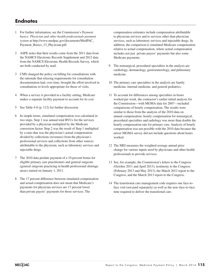## **Endnotes**

- 1 For further information, see the Commission's *Payment basics: Physician and other health professionals payment system* at http://www.medpac.gov/documents/MedPAC\_ Payment\_Basics\_13\_Physician.pdf.
- 2 ASPE notes that their results come from the 2011 data from the NAMCS Electronic Records Supplement and 2012 data from the NAMCS Electronic Health Records Survey, which are both conducted by mail.
- 3 CMS changed the policy on billing for consultations with the rationale that relaxing requirements for consultation documentation had, over time, brought the effort involved in consultations to levels appropriate for those of visits.
- 4 When a service is provided in a facility setting, Medicare makes a separate facility payment to account for its cost.
- 5 See Table 4-8 (p. 112) for further discussion.
- 6 In simple terms, simulated compensation was calculated in two steps. Step 1 was annual total RVUs for the services provided by a physician multiplied by the Medicare conversion factor. Step 2 was the result of Step 1 multiplied by a ratio that was the physician's actual compensation divided by collections (revenues) from the physician's professional services and collections from other sources attributable to the physician, such as laboratory services and injectable drugs.
- 7 The 2010 data predate payment of a 10 percent bonus for eligible primary care practitioners and general surgeons (general surgeons practicing in health professional shortage areas) started on January 1, 2011.
- 8 The 17 percent difference between simulated compensation and actual compensation does not mean that Medicare's payments for physician services are 17 percent lower than private payers' payments for those services. The

compensation estimates include compensation attributable to physician services and to services other than physician services, such as laboratory services and injectable drugs. In addition, the comparison is simulated Medicare compensation relative to actual compensation, where actual compensation includes not just private payers' payments but also some Medicare payments.

- 9 The nonsurgical, procedural specialties in the analysis are cardiology, dermatology, gastroenterology, and pulmonary medicine.
- 10 The primary care specialties in the analysis are family medicine, internal medicine, and general pediatrics.
- 11 To account for differences among specialties in hours worked per week, the contractor's earlier initial analysis for the Commission—with MGMA data for 2007—included comparisons of hourly compensation. The results were similar to those from the analysis of the 2010 data on annual compensation: hourly compensation for nonsurgical, procedural specialties and radiology was more than double the hourly compensation rate for primary care. Analysis of hourly compensation was not possible with the 2010 data because the newer MGMA survey did not include questions about hours worked.
- 12 The MEI measures the weighted average annual price change for various inputs used by physicians and other health professionals to provide services.
- 13 See, for example, the Commission's letters to the Congress (October 2011 and April 2013), testimony to the Congress (February 2013 and May 2013), the March 2012 report to the Congress, and the March 2013 report to the Congress.
- 14 The transitional care management code requires one face-toface visit (not paid separately) as well as the non–face-to-face time required to deliver the transitional care.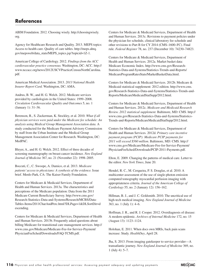## **References**

ABIM Foundation. 2012. Choosing wisely. http://choosingwisely. org.

Agency for Healthcare Research and Quality. 2013. MEPS topics: Access to health care. Quality of care tables. http://meps.ahrq. gov/mepsweb/data\_stats/MEPS\_topics.jsp?topicid=1Z-1.

American College of Cardiology. 2012. *Findings from the ACC cardiovascular practice consensus.* Washington, DC: ACC. http:// www.nccacc.org/news/2012USCVPracticeCensusNorthCarolina. pdf.

American Medical Association. 2013. *2013 National Health Insurer Report Card.* Washington, DC: AMA.

Andrus, B. W., and H. G. Welch. 2012. Medicare services provided by cardiologists in the United States: 1999–2008. *Circulation Cardiovascular Quality and Outcomes* 5, no. 1 (January 1): 31–36.

Berenson, R., S. Zuckerman, K. Stockley, et al. 2010. *What if all physician services were paid under the Medicare fee schedule: An analysis using Medical Group Management Association data.* A study conducted for the Medicare Payment Advisory Commission by staff from the Urban Institute and the Medical Group Management Association Center for Research. Washington, DC: MedPAC.

Bleyer, A., and H. G. Welch. 2012. Effect of three decades of screening mammography on breast-cancer incidence. *New England Journal of Medicine* 367, no. 21 (November 22): 1998–2005.

Boccuti, C., C. Swoope, A. Damico, et al. 2013. *Medicare patients' access to physicians: A synthesis of the evidence.* Issue brief. Menlo Park, CA: The Kaiser Family Foundation.

Centers for Medicare & Medicaid Services, Department of Health and Human Services. 2013a. The characteristics and perceptions of the Medicare population: Data from the 2011 Medicare Current Beneficiary Survey. http://www.cms.gov/ Research-Statistics-Data-and-Systems/Research/MCBS/Data-Tables-Items/2011CharAndPerc.html?DLPage=1&DLSortDir=d escending.

Centers for Medicare & Medicaid Services, Department of Health and Human Services. 2013b. Frequently asked questions about billing Medicare for transitional care management services. http:// www.cms.gov/Medicare/Medicare-Fee-for-Service-Payment/ PhysicianFeeSched/Downloads/FAQ-TCMS.pdf.

Centers for Medicare & Medicaid Services, Department of Health and Human Services. 2013c. Revisions to payment policies under the physician fee schedule, clinical laboratory fee schedule and other revisions to Part B for CY 2014 (CMS–1600–FC). Final rule. *Federal Register* 78, no. 237 (December 10): 74230–74823.

Centers for Medicare & Medicaid Services, Department of Health and Human Services. 2012a. Market basket data: Medicare Economic Index. http://www.cms.gov/Research-Statistics-Data-and-Systems/Statistics-Trends-and-Reports/ MedicareProgramRatesStats/MarketBasketData.html.

Centers for Medicare & Medicaid Services. 2012b. Medicare & Medicaid statistical supplement: 2012 edition. http://www.cms. gov/Research-Statistics-Data-and-Systems/Statistics-Trends-and-Reports/MedicareMedicaidStatSupp/2012.html.

Centers for Medicare & Medicaid Services, Department of Health and Human Services. 2012c. *Medicare and Medicaid Research Review. 2012 statistical supplement.* Baltimore, MD: CMS. http:// www.cms.gov/Research-Statistics-Data-and-Systems/Statistics-Trends-and-Reports/MedicareMedicaidStatSupp/2012.html.

Centers for Medicare & Medicaid Services, Department of Health and Human Services. 2012d. *Primary care incentive payment program (PCIP): Medicare PCIP payments for 2011 will exceed \$560 million*. Baltimore, MD: CMS. http:// www.cms.gov/Medicare/Medicare-Fee-for-Service-Payment/ PhysicianFeeSched/Downloads/PCIP-2011-Payments.pdf.

Elton, E. 2009. Changing the patterns of medical care. Letter to the editor. *New York Times*, June 20.

Hendel, R. C., M. Cerqueira, P. S. Douglas, et al. 2010. A multicenter assessment of the use of single-photon emission computed tomography myocardial perfusion imaging with appropriateness criteria. *Journal of the American College of Cardiology* 55, no. 2 (January 12): 156–162.

Hillman, B. J., and J. C. Goldsmith. 2010. The uncritical use of high-tech medical imaging. *New England Journal of Medicine* 363, no. 1 (July 1): 4–6.

Hoffman, J. R., and R. J. Cooper. 2012. Overdiagnosis of disease: A modern epidemic. *Archives of Internal Medicine* 172, no. 15 (August 13): 1123–1124.

Holohan, E. 2011. When docs own MRIs, back pain scans increase: Study. *HealthDay*, April 28.

Jha, S. 2013. From imaging gatekeeper to service provider—A transatlantic journey. *New England Journal of Medicine* 369, no. 1 (July 4): 5–7.